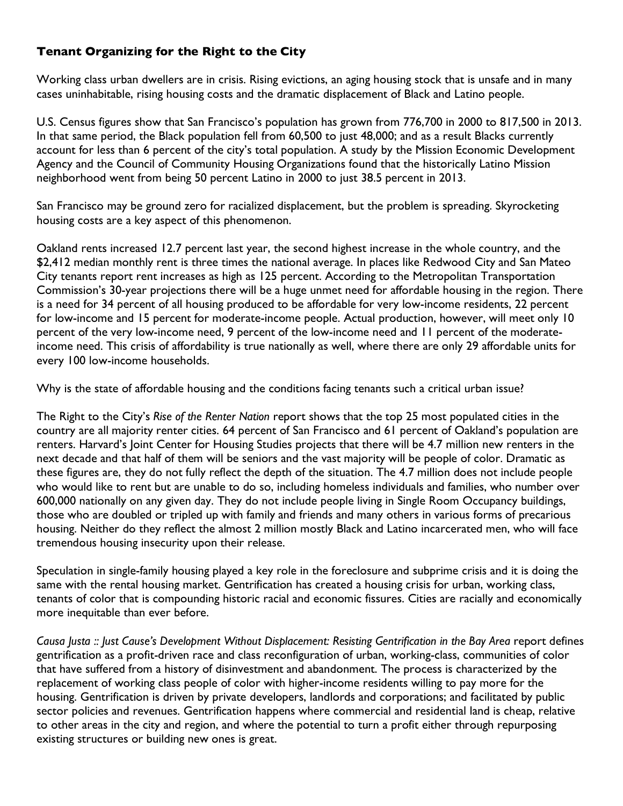## **Tenant Organizing for the Right to the City**

Working class urban dwellers are in crisis. Rising evictions, an aging housing stock that is unsafe and in many cases uninhabitable, rising housing costs and the dramatic displacement of Black and Latino people.

U.S. Census figures show that San Francisco's population has grown from 776,700 in 2000 to 817,500 in 2013. In that same period, the Black population fell from 60,500 to just 48,000; and as a result Blacks currently account for less than 6 percent of the city's total population. A study by the Mission Economic Development Agency and the Council of Community Housing Organizations found that the historically Latino Mission neighborhood went from being 50 percent Latino in 2000 to just 38.5 percent in 2013.

San Francisco may be ground zero for racialized displacement, but the problem is spreading. Skyrocketing housing costs are a key aspect of this phenomenon.

Oakland rents increased 12.7 percent last year, the second highest increase in the whole country, and the \$2,412 median monthly rent is three times the national average. In places like Redwood City and San Mateo City tenants report rent increases as high as 125 percent. According to the Metropolitan Transportation Commission's 30-year projections there will be a huge unmet need for affordable housing in the region. There is a need for 34 percent of all housing produced to be affordable for very low-income residents, 22 percent for low-income and 15 percent for moderate-income people. Actual production, however, will meet only 10 percent of the very low-income need, 9 percent of the low-income need and 11 percent of the moderateincome need. This crisis of affordability is true nationally as well, where there are only 29 affordable units for every 100 low-income households.

Why is the state of affordable housing and the conditions facing tenants such a critical urban issue?

The Right to the City's *Rise of the Renter Nation* report shows that the top 25 most populated cities in the country are all majority renter cities. 64 percent of San Francisco and 61 percent of Oakland's population are renters. Harvard's Joint Center for Housing Studies projects that there will be 4.7 million new renters in the next decade and that half of them will be seniors and the vast majority will be people of color. Dramatic as these figures are, they do not fully reflect the depth of the situation. The 4.7 million does not include people who would like to rent but are unable to do so, including homeless individuals and families, who number over 600,000 nationally on any given day. They do not include people living in Single Room Occupancy buildings, those who are doubled or tripled up with family and friends and many others in various forms of precarious housing. Neither do they reflect the almost 2 million mostly Black and Latino incarcerated men, who will face tremendous housing insecurity upon their release.

Speculation in single-family housing played a key role in the foreclosure and subprime crisis and it is doing the same with the rental housing market. Gentrification has created a housing crisis for urban, working class, tenants of color that is compounding historic racial and economic fissures. Cities are racially and economically more inequitable than ever before.

*Causa Justa :: Just Cause's Development Without Displacement: Resisting Gentrification in the Bay Area* report defines gentrification as a profit-driven race and class reconfiguration of urban, working-class, communities of color that have suffered from a history of disinvestment and abandonment. The process is characterized by the replacement of working class people of color with higher-income residents willing to pay more for the housing. Gentrification is driven by private developers, landlords and corporations; and facilitated by public sector policies and revenues. Gentrification happens where commercial and residential land is cheap, relative to other areas in the city and region, and where the potential to turn a profit either through repurposing existing structures or building new ones is great.